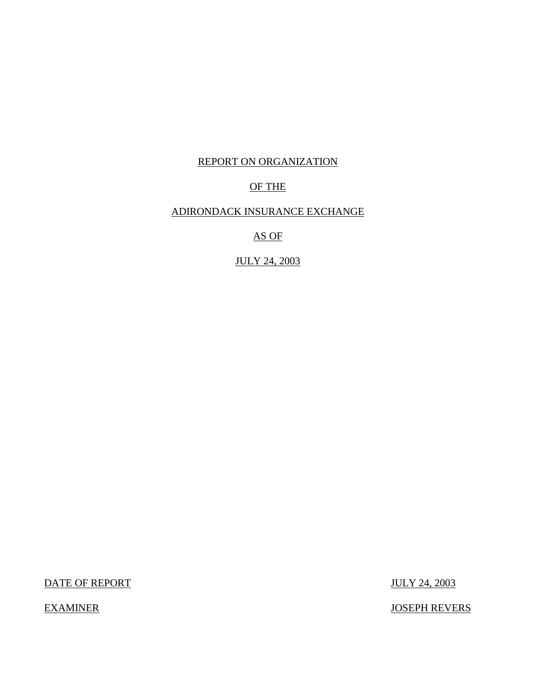# REPORT ON ORGANIZATION

# OF THE

# ADIRONDACK INSURANCE EXCHANGE

AS OF

JULY 24, 2003

DATE OF REPORT JULY 24, 2003

EXAMINER JOSEPH REVERS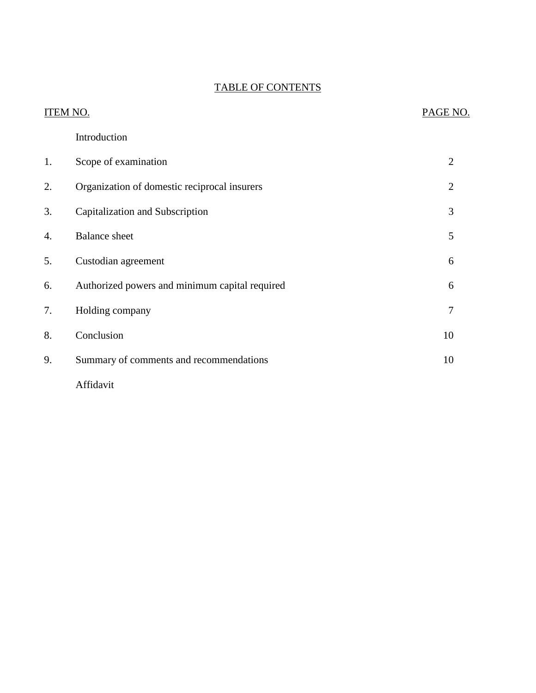# TABLE OF CONTENTS

|    | ITEM NO.                                       |                |
|----|------------------------------------------------|----------------|
|    | Introduction                                   |                |
| 1. | Scope of examination                           | $\overline{2}$ |
| 2. | Organization of domestic reciprocal insurers   | $\overline{2}$ |
| 3. | Capitalization and Subscription                | 3              |
| 4. | <b>Balance</b> sheet                           | 5              |
| 5. | Custodian agreement                            | 6              |
| 6. | Authorized powers and minimum capital required | 6              |
| 7. | Holding company                                | $\overline{7}$ |
| 8. | Conclusion                                     | 10             |
| 9. | Summary of comments and recommendations        | 10             |
|    | Affidavit                                      |                |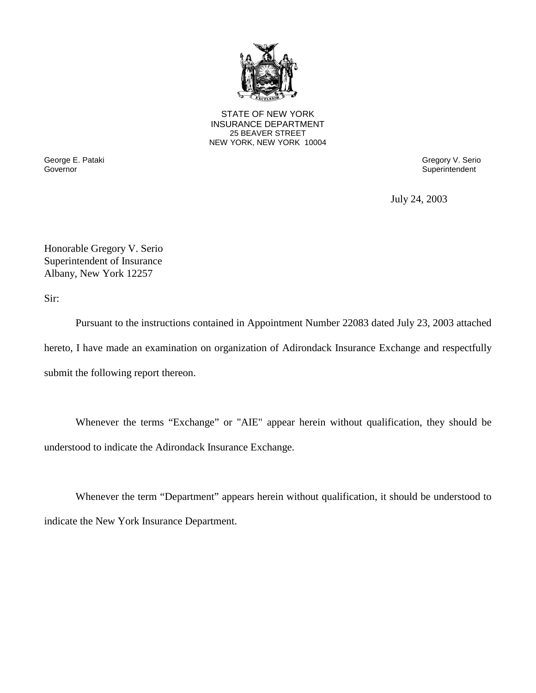

STATE OF NEW YORK INSURANCE DEPARTMENT 25 BEAVER STREET NEW YORK, NEW YORK 10004

George E. Pataki Gregory V. Serio

Superintendent

July 24, 2003

Honorable Gregory V. Serio Superintendent of Insurance Albany, New York 12257

Sir:

Pursuant to the instructions contained in Appointment Number 22083 dated July 23, 2003 attached hereto, I have made an examination on organization of Adirondack Insurance Exchange and respectfully submit the following report thereon.

Whenever the terms "Exchange" or "AIE" appear herein without qualification, they should be understood to indicate the Adirondack Insurance Exchange.

Whenever the term "Department" appears herein without qualification, it should be understood to indicate the New York Insurance Department.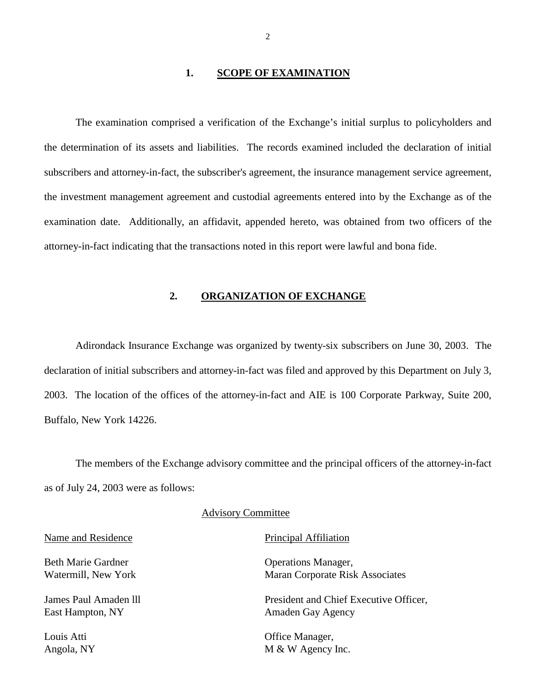#### 1. **SCOPE OF EXAMINATION**

<span id="page-3-0"></span> the investment management agreement and custodial agreements entered into by the Exchange as of the The examination comprised a verification of the Exchange's initial surplus to policyholders and the determination of its assets and liabilities. The records examined included the declaration of initial subscribers and attorney-in-fact, the subscriber's agreement, the insurance management service agreement, examination date. Additionally, an affidavit, appended hereto, was obtained from two officers of the attorney-in-fact indicating that the transactions noted in this report were lawful and bona fide.

#### **2. ORGANIZATION OF EXCHANGE**

Adirondack Insurance Exchange was organized by twenty-six subscribers on June 30, 2003. The declaration of initial subscribers and attorney-in-fact was filed and approved by this Department on July 3, 2003. The location of the offices of the attorney-in-fact and AIE is 100 Corporate Parkway, Suite 200, Buffalo, New York 14226.

 The members of the Exchange advisory committee and the principal officers of the attorney-in-fact as of July 24, 2003 were as follows:

#### Advisory Committee

Name and Residence Principal Affiliation

Beth Marie Gardner **Operations Manager**,

Watermill, New York Maran Corporate Risk Associates

James Paul Amaden lll President and Chief Executive Officer, East Hampton, NY Amaden Gay Agency

Louis Atti **Changer**, **Changer**, **Changer**, **Changer**, **Changer**, **Changer**, **Changer**, **Changer**, **Changer**, **Changer**, **Changer**, **Changer**, **Changer**, **Changer**, **Changer**, **Changer**, **Changer**, **Changer**, **Changer**, **C** Angola, NY M & W Agency Inc.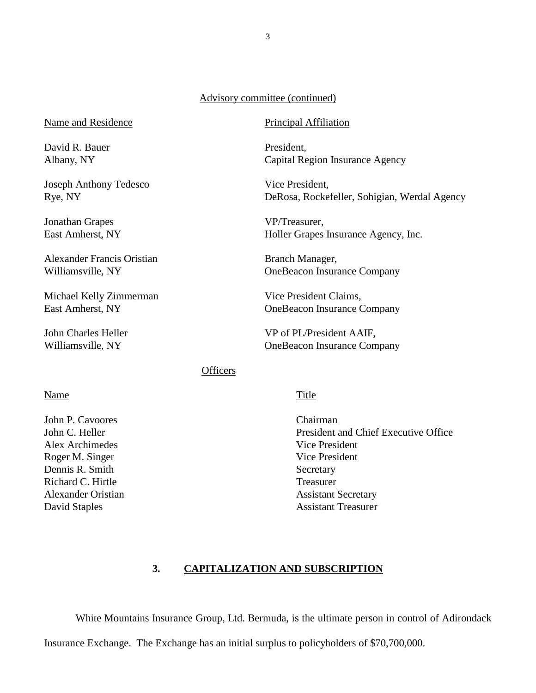#### Advisory committee (continued)

Name and Residence Principal Affiliation

David R. Bauer President,

Joseph Anthony Tedesco Vice President,

Jonathan Grapes VP/Treasurer,

Alexander Francis Oristian Branch Manager,

Michael Kelly Zimmerman Vice President Claims,

Albany, NY Capital Region Insurance Agency

Rye, NY DeRosa, Rockefeller, Sohigian, Werdal Agency

East Amherst, NY Holler Grapes Insurance Agency, Inc.

Williamsville, NY OneBeacon Insurance Company

East Amherst, NY OneBeacon Insurance Company

John Charles Heller VP of PL/President AAIF, Williamsville, NY OneBeacon Insurance Company

### **Officers**

#### Name Title

John P. Cavoores Chairman Alex Archimedes Vice President Roger M. Singer Vice President Dennis R. Smith Secretary Richard C. Hirtle Treasurer

John C. Heller President and Chief Executive Office Alexander Oristian **Assistant Secretary** Assistant Secretary David Staples Assistant Treasurer

### **3. CAPITALIZATION AND SUBSCRIPTION**

White Mountains Insurance Group, Ltd. Bermuda, is the ultimate person in control of Adirondack

Insurance Exchange. The Exchange has an initial surplus to policyholders of \$70,700,000.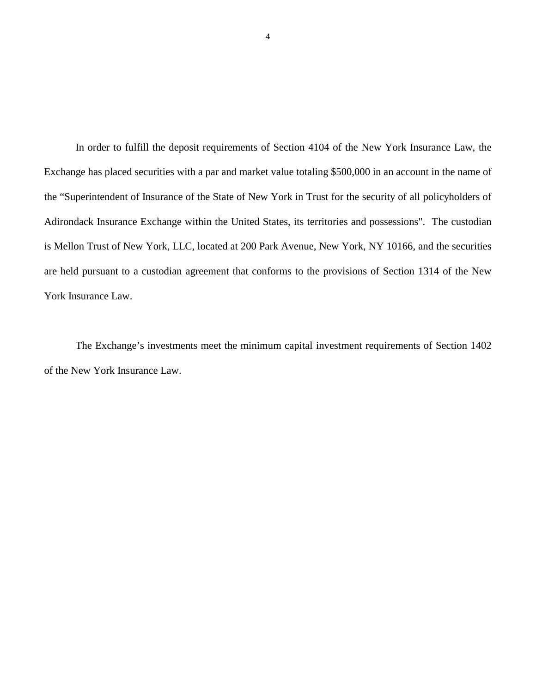In order to fulfill the deposit requirements of Section 4104 of the New York Insurance Law, the Exchange has placed securities with a par and market value totaling \$500,000 in an account in the name of the "Superintendent of Insurance of the State of New York in Trust for the security of all policyholders of Adirondack Insurance Exchange within the United States, its territories and possessions". The custodian is Mellon Trust of New York, LLC, located at 200 Park Avenue, New York, NY 10166, and the securities are held pursuant to a custodian agreement that conforms to the provisions of Section 1314 of the New York Insurance Law.

The Exchange's investments meet the minimum capital investment requirements of Section 1402 of the New York Insurance Law.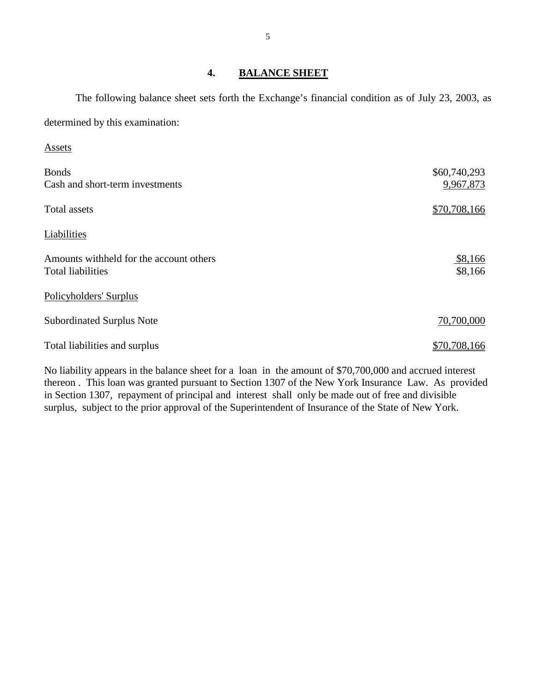# **4. BALANCE SHEET**

The following balance sheet sets forth the Exchange's financial condition as of July 23, 2003, as determined by this examination:

| <b>Bonds</b><br>Cash and short-term investments                     | \$60,740,293<br>9,967,873 |
|---------------------------------------------------------------------|---------------------------|
| Total assets                                                        | \$70,708,166              |
| Liabilities                                                         |                           |
| Amounts withheld for the account others<br><b>Total liabilities</b> | \$8,166<br>\$8,166        |
| Policyholders' Surplus                                              |                           |
| <b>Subordinated Surplus Note</b>                                    | 70,700,000                |
| Total liabilities and surplus                                       | \$70,708,166              |

No liability appears in the balance sheet for a loan in the amount of \$70,700,000 and accrued interest thereon . This loan was granted pursuant to Section 1307 of the New York Insurance Law. As provided in Section 1307, repayment of principal and interest shall only be made out of free and divisible surplus, subject to the prior approval of the Superintendent of Insurance of the State of New York.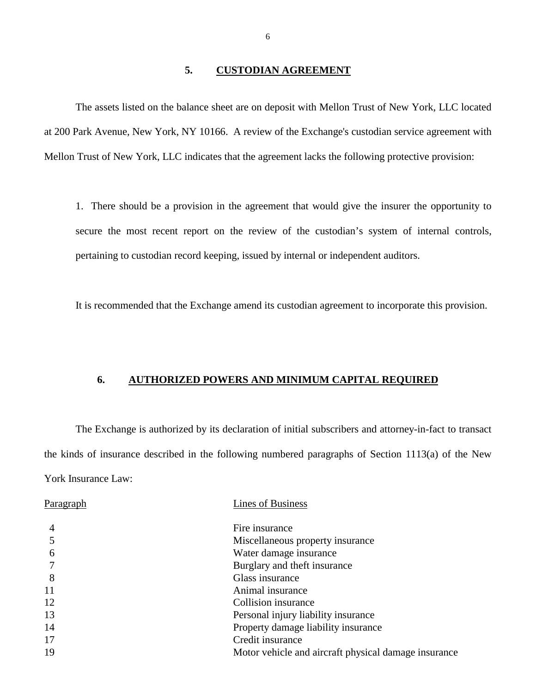#### **5. CUSTODIAN AGREEMENT**

<span id="page-7-0"></span>The assets listed on the balance sheet are on deposit with Mellon Trust of New York, LLC located at 200 Park Avenue, New York, NY 10166. A review of the Exchange's custodian service agreement with Mellon Trust of New York, LLC indicates that the agreement lacks the following protective provision:

 secure the most recent report on the review of the custodian's system of internal controls, 1. There should be a provision in the agreement that would give the insurer the opportunity to pertaining to custodian record keeping, issued by internal or independent auditors.

It is recommended that the Exchange amend its custodian agreement to incorporate this provision.

#### **6. AUTHORIZED POWERS AND MINIMUM CAPITAL REQUIRED**

 The Exchange is authorized by its declaration of initial subscribers and attorney-in-fact to transact the kinds of insurance described in the following numbered paragraphs of Section 1113(a) of the New York Insurance Law:

| Fire insurance<br>4                                        |  |
|------------------------------------------------------------|--|
| Miscellaneous property insurance                           |  |
| Water damage insurance<br>6                                |  |
| Burglary and theft insurance                               |  |
| Glass insurance<br>8                                       |  |
| 11<br>Animal insurance                                     |  |
| 12<br>Collision insurance                                  |  |
| 13<br>Personal injury liability insurance                  |  |
| 14<br>Property damage liability insurance                  |  |
| 17<br>Credit insurance                                     |  |
| 19<br>Motor vehicle and aircraft physical damage insurance |  |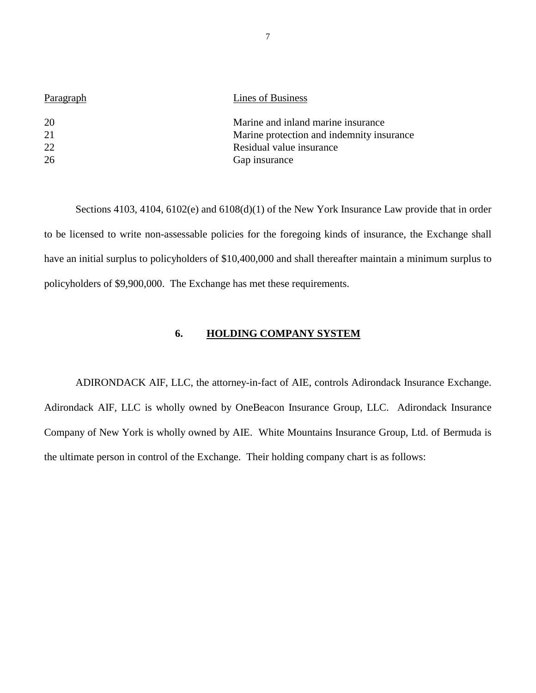<span id="page-8-0"></span>

| Paragraph | Lines of Business                         |
|-----------|-------------------------------------------|
| 20        | Marine and inland marine insurance        |
| 21        | Marine protection and indemnity insurance |
| 22        | Residual value insurance                  |
| 26        | Gap insurance                             |

Sections 4103, 4104, 6102(e) and 6108(d)(1) of the New York Insurance Law provide that in order to be licensed to write non-assessable policies for the foregoing kinds of insurance, the Exchange shall have an initial surplus to policyholders of \$10,400,000 and shall thereafter maintain a minimum surplus to policyholders of \$9,900,000. The Exchange has met these requirements.

### **6. HOLDING COMPANY SYSTEM**

ADIRONDACK AIF, LLC, the attorney-in-fact of AIE, controls Adirondack Insurance Exchange. Adirondack AIF, LLC is wholly owned by OneBeacon Insurance Group, LLC. Adirondack Insurance Company of New York is wholly owned by AIE. White Mountains Insurance Group, Ltd. of Bermuda is the ultimate person in control of the Exchange. Their holding company chart is as follows: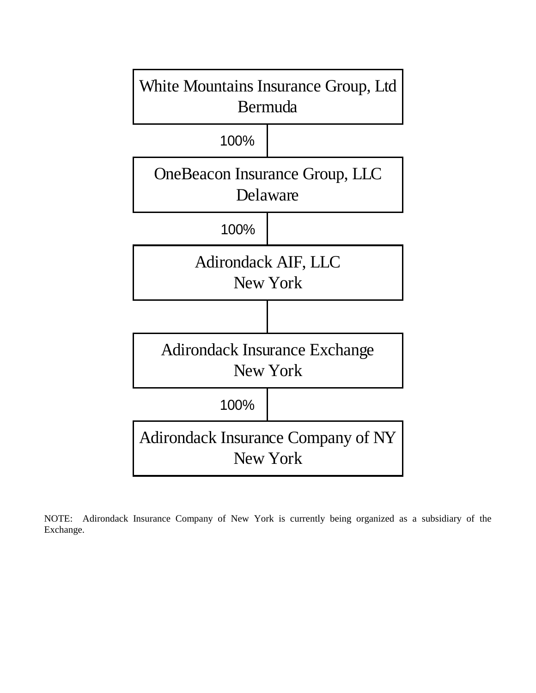

NOTE: Adirondack Insurance Company of New York is currently being organized as a subsidiary of the Exchange.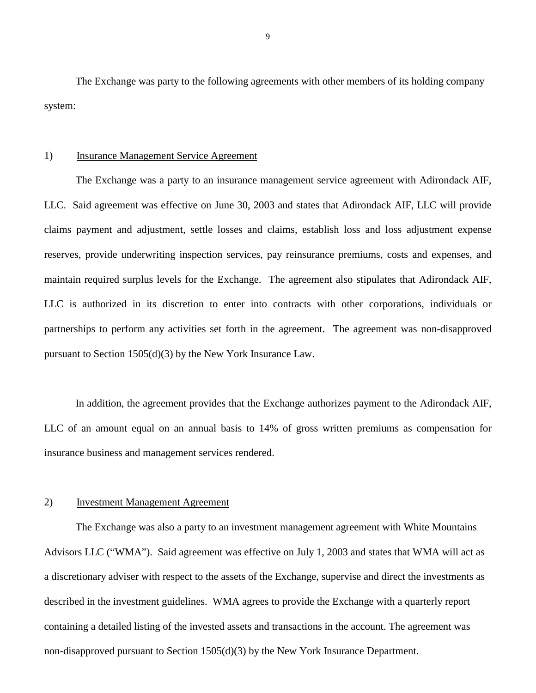The Exchange was party to the following agreements with other members of its holding company system:

#### 1) Insurance Management Service Agreement

 The Exchange was a party to an insurance management service agreement with Adirondack AIF, LLC. Said agreement was effective on June 30, 2003 and states that Adirondack AIF, LLC will provide claims payment and adjustment, settle losses and claims, establish loss and loss adjustment expense reserves, provide underwriting inspection services, pay reinsurance premiums, costs and expenses, and maintain required surplus levels for the Exchange. The agreement also stipulates that Adirondack AIF, LLC is authorized in its discretion to enter into contracts with other corporations, individuals or partnerships to perform any activities set forth in the agreement. The agreement was non-disapproved pursuant to Section 1505(d)(3) by the New York Insurance Law.

In addition, the agreement provides that the Exchange authorizes payment to the Adirondack AIF, LLC of an amount equal on an annual basis to 14% of gross written premiums as compensation for insurance business and management services rendered.

### 2) Investment Management Agreement

The Exchange was also a party to an investment management agreement with White Mountains Advisors LLC ("WMA"). Said agreement was effective on July 1, 2003 and states that WMA will act as a discretionary adviser with respect to the assets of the Exchange, supervise and direct the investments as described in the investment guidelines. WMA agrees to provide the Exchange with a quarterly report containing a detailed listing of the invested assets and transactions in the account. The agreement was non-disapproved pursuant to Section 1505(d)(3) by the New York Insurance Department.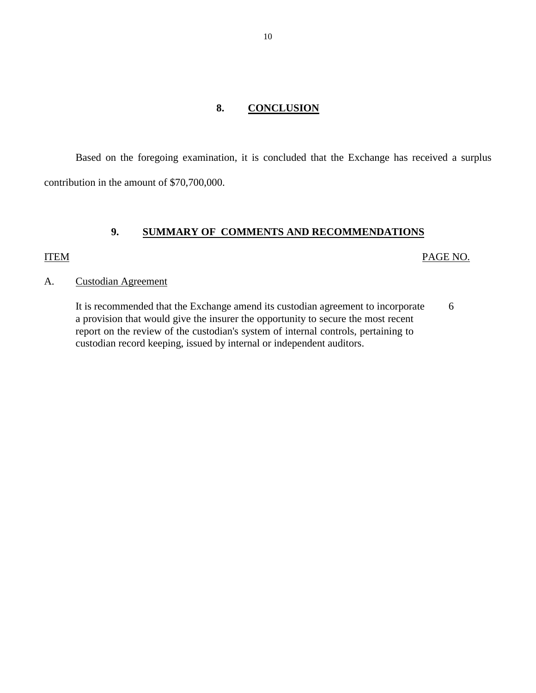### **8. CONCLUSION**

<span id="page-11-0"></span>Based on the foregoing examination, it is concluded that the Exchange has received a surplus contribution in the amount of \$70,700,000.

# **9. SUMMARY OF COMMENTS AND RECOMMENDATIONS**

### ITEM PAGE NO.

#### A. Custodian Agreement

It is recommended that the Exchange amend its custodian agreement to incorporate 6 a provision that would give the insurer the opportunity to secure the most recent report on the review of the custodian's system of internal controls, pertaining to custodian record keeping, issued by internal or independent auditors.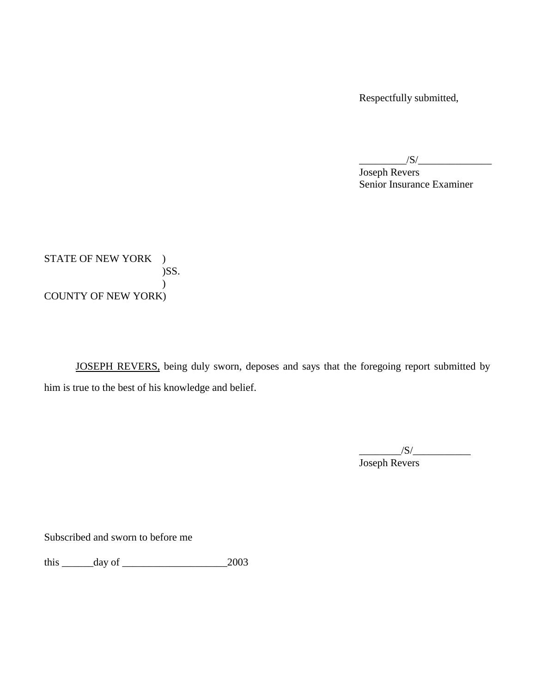Respectfully submitted,

 $\frac{|S|}{|S|}$ Joseph Revers Senior Insurance Examiner

STATE OF NEW YORK ) )SS.  $\mathcal{L}$ COUNTY OF NEW YORK)

JOSEPH REVERS, being duly sworn, deposes and says that the foregoing report submitted by him is true to the best of his knowledge and belief.

> $/S/\sim$ Joseph Revers

Subscribed and sworn to before me

this \_\_\_\_\_\_day of \_\_\_\_\_\_\_\_\_\_\_\_\_\_\_\_\_\_\_\_2003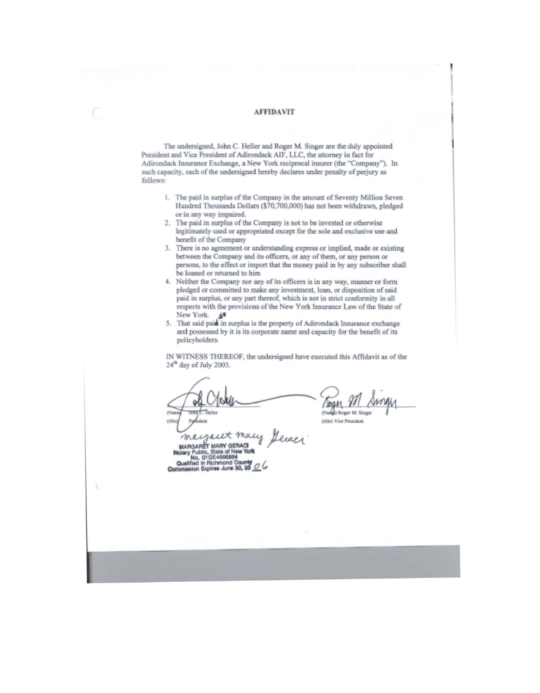#### **AFFIDAVIT**

The undersigned, John C. Heller and Roger M. Singer are the duly appointed President and Vice President of Adirondack AIF, LLC, the attorney in fact for Adirondack Insurance Exchange, a New York reciprocal insurer (the "Company"). In such capacity, each of the undersigned hereby declares under penalty of perjury as follows:

- 1. The paid in surplus of the Company in the amount of Seventy Million Seven Hundred Thousands Dollars (\$70,700,000) has not been withdrawn, pledged or in any way impaired.
- 2. The paid in surplus of the Company is not to be invested or otherwise legitimately used or appropriated except for the sole and exclusive use and benefit of the Company
- 3. There is no agreement or understanding express or implied, made or existing between the Company and its officers, or any of them, or any person or persons, to the effect or import that the money paid in by any subscriber shall be loaned or returned to him
- 4. Neither the Company nor any of its officers is in any way, manner or form pledged or committed to make any investment, loan, or disposition of said paid in surplus, or any part thereof, which is not in strict conformity in all respects with the provisions of the New York Insurance Law of the State of New York.  $\mathbf{\hat{g}}^{\mathbf{g}}$ <br>5. That said paid in surplus is the property of Adirondack Insurance exchange
- and possessed by it is its corporate name and capacity for the benefit of its policyholders.

IN WITNESS THEREOF, the undersigned have executed this Affidavit as of the 24<sup>th</sup> day of July 2003.

mit

(Nadge) Rogar M. Sing

mitlet Vice President

megant many eraer MURGARET MARY GERACI (NEW YORK)<br>Notary Public, State of New York<br>Cualified in Richmond County<br>Commission Expires June 30, 29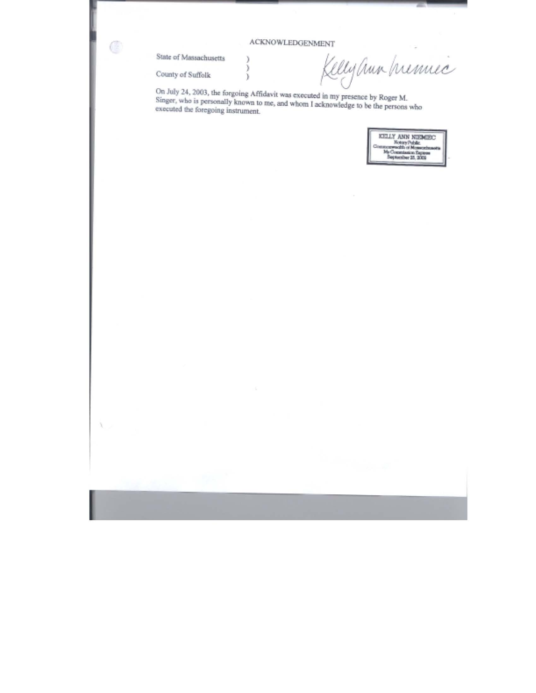#### **ACKNOWLEDGENMENT**

٦ ĭ

 $\lambda$ 

State of Massachusetts

County of Suffolk

C

 $\lambda_{\rm c}$ 

Kelly aux premier

On July 24, 2003, the forgoing Affidavit was executed in my presence by Roger M.<br>Singer, who is personally known to me, and whom I acknowledge to be the persons who executed the foregoing instrument.